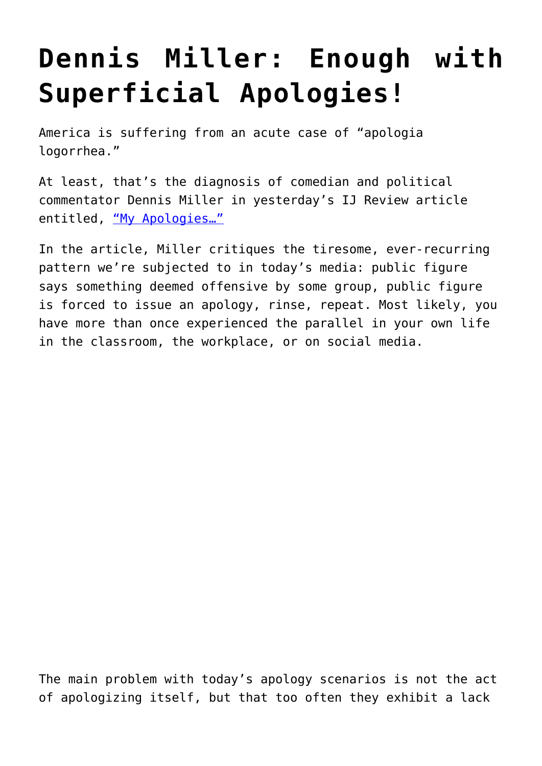## **[Dennis Miller: Enough with](https://intellectualtakeout.org/2015/08/dennis-miller-enough-with-superficial-apologies/) [Superficial Apologies!](https://intellectualtakeout.org/2015/08/dennis-miller-enough-with-superficial-apologies/)**

America is suffering from an acute case of "apologia logorrhea."

At least, that's the diagnosis of comedian and political commentator Dennis Miller in yesterday's IJ Review article entitled, "My Apologies..."

In the article, Miller critiques the tiresome, ever-recurring pattern we're subjected to in today's media: public figure says something deemed offensive by some group, public figure is forced to issue an apology, rinse, repeat. Most likely, you have more than once experienced the parallel in your own life in the classroom, the workplace, or on social media.

The main problem with today's apology scenarios is not the act of apologizing itself, but that too often they exhibit a lack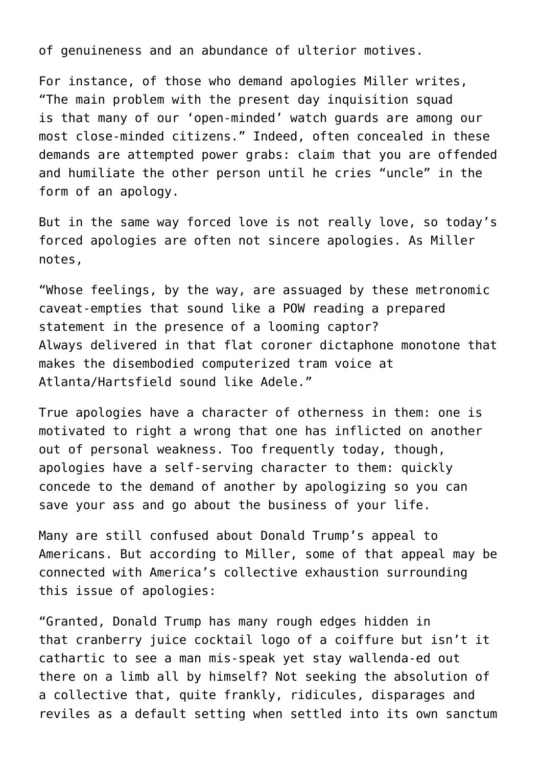of genuineness and an abundance of ulterior motives.

For instance, of those who demand apologies Miller writes, "The main problem with the present day inquisition squad is that many of our 'open-minded' watch guards are among our most close-minded citizens." Indeed, often concealed in these demands are attempted power grabs: claim that you are offended and humiliate the other person until he cries "uncle" in the form of an apology.

But in the same way forced love is not really love, so today's forced apologies are often not sincere apologies. As Miller notes,

"Whose feelings, by the way, are assuaged by these metronomic caveat-empties that sound like a POW reading a prepared statement in the presence of a looming captor? Always delivered in that flat coroner dictaphone monotone that makes the disembodied computerized tram voice at Atlanta/Hartsfield sound like Adele."

True apologies have a character of otherness in them: one is motivated to right a wrong that one has inflicted on another out of personal weakness. Too frequently today, though, apologies have a self-serving character to them: quickly concede to the demand of another by apologizing so you can save your ass and go about the business of your life.

Many are still confused about Donald Trump's appeal to Americans. But according to Miller, some of that appeal may be connected with America's collective exhaustion surrounding this issue of apologies:

"Granted, Donald Trump has many rough edges hidden in that cranberry juice cocktail logo of a coiffure but isn't it cathartic to see a man mis-speak yet stay wallenda-ed out there on a limb all by himself? Not seeking the absolution of a collective that, quite frankly, ridicules, disparages and reviles as a default setting when settled into its own sanctum